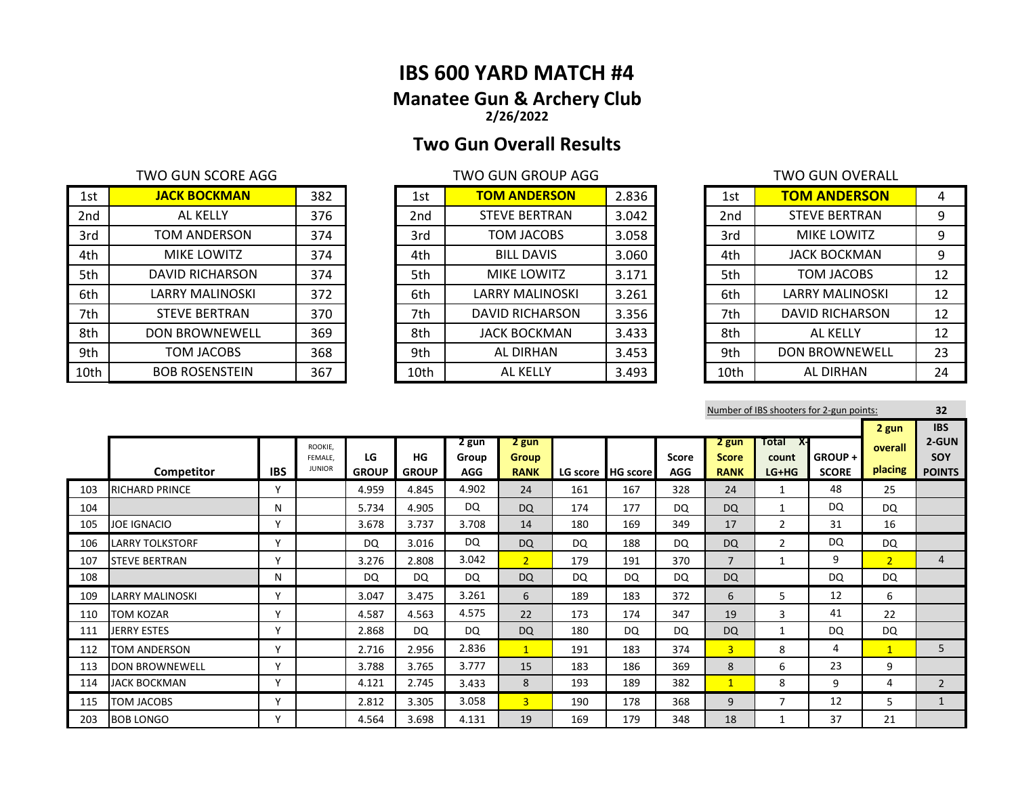# **IBS 600 YARD MATCH #4 Manatee Gun & Archery Club 2/26/2022**

# **Two Gun Overall Results**

| 1st             | <b>JACK BOCKMAN</b>   | 382 | 1st             | <b>TOM ANDERSON</b>  | 2.836 | 1st  | <b>TOM ANDERSON</b>    | 4  |
|-----------------|-----------------------|-----|-----------------|----------------------|-------|------|------------------------|----|
| 2 <sub>nd</sub> | AL KELLY              | 376 | 2 <sub>nd</sub> | <b>STEVE BERTRAN</b> | 3.042 | 2nd  | <b>STEVE BERTRAN</b>   | 9  |
| 3rd             | TOM ANDERSON          | 374 | 3rd             | TOM JACOBS           | 3.058 | 3rd  | MIKE LOWITZ            | 9  |
| 4th             | MIKE LOWITZ           | 374 | 4th             | <b>BILL DAVIS</b>    | 3.060 | 4th  | <b>JACK BOCKMAN</b>    | 9  |
| 5th             | DAVID RICHARSON       | 374 | 5th             | <b>MIKE LOWITZ</b>   | 3.171 | 5th  | TOM JACOBS             | 12 |
| 6th             | LARRY MALINOSKI       | 372 | 6th             | LARRY MALINOSKI      | 3.261 | 6th  | <b>LARRY MALINOSKI</b> | 12 |
| 7th             | <b>STEVE BERTRAN</b>  | 370 | 7th             | DAVID RICHARSON      | 3.356 | 7th  | DAVID RICHARSON        | 12 |
| 8th             | <b>DON BROWNEWELL</b> | 369 | 8th             | <b>JACK BOCKMAN</b>  | 3.433 | 8th  | AL KELLY               | 12 |
| 9th             | TOM JACOBS            | 368 | 9th             | AL DIRHAN            | 3.453 | 9th  | <b>DON BROWNEWELL</b>  | 23 |
| 10th            | <b>BOB ROSENSTEIN</b> | 367 | 10th            | AL KELLY             | 3.493 | 10th | AL DIRHAN              | 24 |

| 1st             | <b>TOM ANDERSON</b>    | 2.836 |
|-----------------|------------------------|-------|
| 2 <sub>nd</sub> | <b>STEVE BERTRAN</b>   | 3.042 |
| 3rd             | <b>TOM JACOBS</b>      | 3.058 |
| 4th             | <b>BILL DAVIS</b>      | 3.060 |
| 5th             | <b>MIKE LOWITZ</b>     | 3.171 |
| 6th             | <b>LARRY MALINOSKI</b> | 3.261 |
| 7th             | <b>DAVID RICHARSON</b> | 3.356 |
| 8th             | <b>JACK BOCKMAN</b>    | 3.433 |
| 9th             | <b>AL DIRHAN</b>       | 3.453 |
| 10th            | AL KFLI Y              | 3.493 |

| <b>TWO GUN SCORE AGG</b> |     |                 | <b>TWO GUN GROUP AGG</b> |       |                 | TWO GUN OVERALL       |    |
|--------------------------|-----|-----------------|--------------------------|-------|-----------------|-----------------------|----|
| <b>JACK BOCKMAN</b>      | 382 | 1st             | <b>TOM ANDERSON</b>      | 2.836 | 1st             | <b>TOM ANDERSON</b>   | 4  |
| AL KELLY                 | 376 | 2 <sub>nd</sub> | <b>STEVE BERTRAN</b>     | 3.042 | 2 <sub>nd</sub> | <b>STEVE BERTRAN</b>  | 9  |
| TOM ANDERSON             | 374 | 3rd             | TOM JACOBS               | 3.058 | 3rd             | <b>MIKE LOWITZ</b>    | 9  |
| <b>MIKE LOWITZ</b>       | 374 | 4th             | <b>BILL DAVIS</b>        | 3.060 | 4th             | <b>JACK BOCKMAN</b>   | 9  |
| DAVID RICHARSON          | 374 | 5th             | <b>MIKE LOWITZ</b>       | 3.171 | 5th             | TOM JACOBS            | 12 |
| LARRY MALINOSKI          | 372 | 6th             | LARRY MALINOSKI          | 3.261 | 6th             | LARRY MALINOSKI       | 12 |
| <b>STEVE BERTRAN</b>     | 370 | 7th             | <b>DAVID RICHARSON</b>   | 3.356 | 7th             | DAVID RICHARSON       | 12 |
| <b>DON BROWNEWELL</b>    | 369 | 8th             | <b>JACK BOCKMAN</b>      | 3.433 | 8th             | AL KELLY              | 12 |
| <b>TOM JACOBS</b>        | 368 | 9th             | AL DIRHAN                | 3.453 | 9th             | <b>DON BROWNEWELL</b> | 23 |
| <b>BOB ROSENSTEIN</b>    | 367 | 10th            | <b>AL KELLY</b>          | 3.493 | 10th            | AL DIRHAN             | 24 |

|     |                        |              |                    |              |              |                |                       |           |                     |              |                       |                   | Number of IBS shooters for 2-gun points: |                  | 32                         |
|-----|------------------------|--------------|--------------------|--------------|--------------|----------------|-----------------------|-----------|---------------------|--------------|-----------------------|-------------------|------------------------------------------|------------------|----------------------------|
|     |                        |              | ROOKIE.<br>FEMALE. | LG           | HG           | 2 gun<br>Group | 2 gun<br><b>Group</b> |           |                     | <b>Score</b> | 2 gun<br><b>Score</b> | Total X-<br>count | GROUP +                                  | 2 gun<br>overall | <b>IBS</b><br>2-GUN<br>SOY |
|     | Competitor             | <b>IBS</b>   | <b>JUNIOR</b>      | <b>GROUP</b> | <b>GROUP</b> | <b>AGG</b>     | <b>RANK</b>           |           | LG score   HG score | <b>AGG</b>   | <b>RANK</b>           | $LG+HG$           | <b>SCORE</b>                             | placing          | <b>POINTS</b>              |
| 103 | <b>RICHARD PRINCE</b>  | ٧            |                    | 4.959        | 4.845        | 4.902          | 24                    | 161       | 167                 | 328          | 24                    | 1                 | 48                                       | 25               |                            |
| 104 |                        | N            |                    | 5.734        | 4.905        | <b>DQ</b>      | DQ                    | 174       | 177                 | DQ.          | <b>DQ</b>             | $\mathbf{1}$      | <b>DQ</b>                                | DQ               |                            |
| 105 | <b>JOE IGNACIO</b>     | ٧            |                    | 3.678        | 3.737        | 3.708          | 14                    | 180       | 169                 | 349          | 17                    | $\overline{2}$    | 31                                       | 16               |                            |
| 106 | <b>LARRY TOLKSTORF</b> | v            |                    | <b>DQ</b>    | 3.016        | DQ             | <b>DQ</b>             | <b>DQ</b> | 188                 | DQ           | <b>DQ</b>             | $\overline{2}$    | <b>DQ</b>                                | DQ               |                            |
| 107 | <b>STEVE BERTRAN</b>   | $\vee$       |                    | 3.276        | 2.808        | 3.042          | 2 <sup>1</sup>        | 179       | 191                 | 370          | $\overline{7}$        | $\mathbf{1}$      | 9                                        | $\overline{2}$   | $\overline{4}$             |
| 108 |                        | N            |                    | DQ.          | DQ           | DQ             | <b>DQ</b>             | <b>DQ</b> | DQ                  | DQ           | <b>DQ</b>             |                   | DQ                                       | DQ               |                            |
| 109 | <b>LARRY MALINOSKI</b> | $\mathsf{v}$ |                    | 3.047        | 3.475        | 3.261          | 6                     | 189       | 183                 | 372          | 6                     | 5                 | 12                                       | 6                |                            |
| 110 | <b>TOM KOZAR</b>       | $\mathsf{v}$ |                    | 4.587        | 4.563        | 4.575          | 22                    | 173       | 174                 | 347          | 19                    | 3                 | 41                                       | 22               |                            |
| 111 | JERRY ESTES            | Y            |                    | 2.868        | DQ           | DQ             | <b>DQ</b>             | 180       | DQ                  | DQ           | <b>DQ</b>             | 1                 | <b>DQ</b>                                | DQ               |                            |
| 112 | <b>TOM ANDERSON</b>    | v            |                    | 2.716        | 2.956        | 2.836          | 1                     | 191       | 183                 | 374          | $\overline{3}$        | 8                 | 4                                        | $\mathbf{1}$     | 5                          |
| 113 | <b>DON BROWNEWELL</b>  | v            |                    | 3.788        | 3.765        | 3.777          | 15                    | 183       | 186                 | 369          | 8                     | 6                 | 23                                       | 9                |                            |
| 114 | <b>JACK BOCKMAN</b>    | Y            |                    | 4.121        | 2.745        | 3.433          | 8                     | 193       | 189                 | 382          | $\mathbf{1}$          | 8                 | 9                                        | 4                | $\overline{2}$             |
| 115 | TOM JACOBS             | ٧            |                    | 2.812        | 3.305        | 3.058          | $\overline{3}$        | 190       | 178                 | 368          | 9                     | $\overline{7}$    | 12                                       | 5                |                            |
| 203 | <b>BOB LONGO</b>       | v            |                    | 4.564        | 3.698        | 4.131          | 19                    | 169       | 179                 | 348          | 18                    |                   | 37                                       | 21               |                            |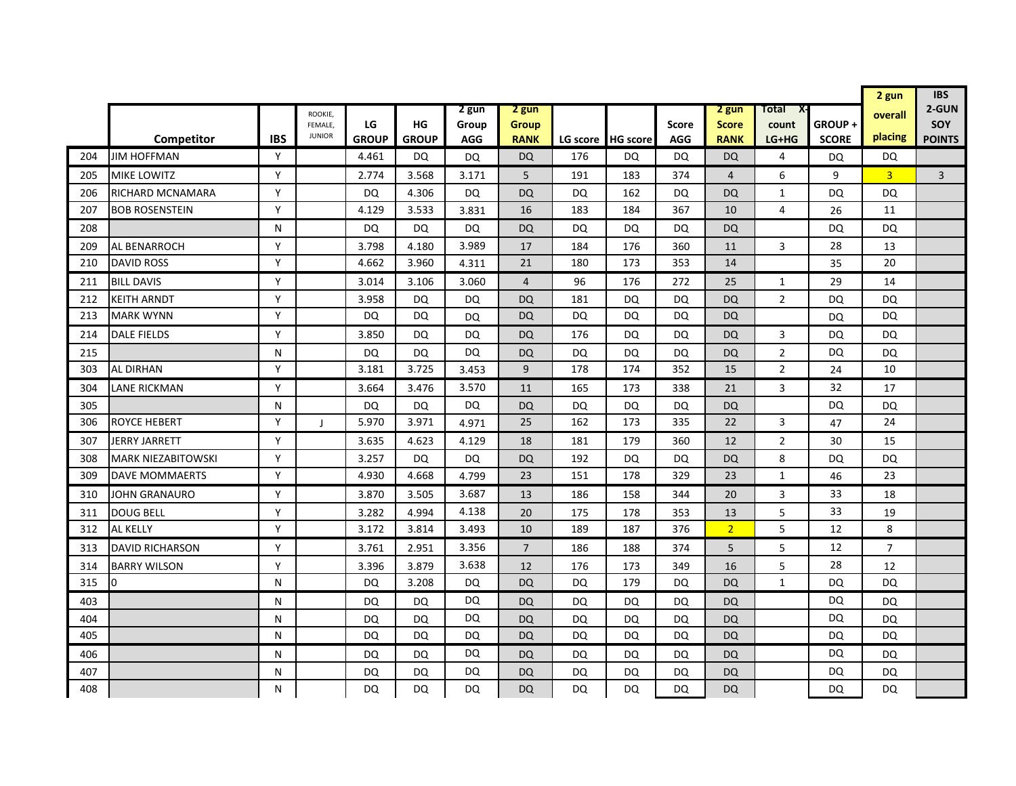|     |                           |            |                          |              |              |            |                |     |                   |              |                |                |              | 2 gun          | <b>IBS</b>     |
|-----|---------------------------|------------|--------------------------|--------------|--------------|------------|----------------|-----|-------------------|--------------|----------------|----------------|--------------|----------------|----------------|
|     |                           |            | ROOKIE,                  |              |              | 2 gun      | 2 gun          |     |                   |              | 2 gun          | Total<br>X-    |              | overall        | 2-GUN          |
|     |                           |            | FEMALE.<br><b>JUNIOR</b> | LG           | HG           | Group      | Group          |     |                   | <b>Score</b> | <b>Score</b>   | count          | GROUP+       | placing        | <b>SOY</b>     |
|     | Competitor                | <b>IBS</b> |                          | <b>GROUP</b> | <b>GROUP</b> | <b>AGG</b> | <b>RANK</b>    |     | LG score HG score | <b>AGG</b>   | <b>RANK</b>    | LG+HG          | <b>SCORE</b> |                | <b>POINTS</b>  |
| 204 | <b>JIM HOFFMAN</b>        | Y          |                          | 4.461        | DQ           | <b>DQ</b>  | <b>DQ</b>      | 176 | DQ                | DQ           | <b>DQ</b>      | 4              | DQ           | DQ             |                |
| 205 | <b>MIKE LOWITZ</b>        | Y          |                          | 2.774        | 3.568        | 3.171      | 5              | 191 | 183               | 374          | $\overline{4}$ | 6              | 9            | $\overline{3}$ | $\overline{3}$ |
| 206 | RICHARD MCNAMARA          | Y          |                          | DQ           | 4.306        | DQ         | <b>DQ</b>      | DQ  | 162               | DQ           | <b>DQ</b>      | $\mathbf{1}$   | DQ           | DQ             |                |
| 207 | <b>BOB ROSENSTEIN</b>     | Y          |                          | 4.129        | 3.533        | 3.831      | 16             | 183 | 184               | 367          | 10             | 4              | 26           | 11             |                |
| 208 |                           | N          |                          | DQ           | <b>DQ</b>    | DQ         | <b>DQ</b>      | DQ  | DQ                | DQ           | <b>DQ</b>      |                | DQ           | DQ             |                |
| 209 | AL BENARROCH              | Y          |                          | 3.798        | 4.180        | 3.989      | 17             | 184 | 176               | 360          | 11             | 3              | 28           | 13             |                |
| 210 | <b>DAVID ROSS</b>         | Y          |                          | 4.662        | 3.960        | 4.311      | 21             | 180 | 173               | 353          | 14             |                | 35           | 20             |                |
| 211 | <b>BILL DAVIS</b>         | Y          |                          | 3.014        | 3.106        | 3.060      | $\overline{4}$ | 96  | 176               | 272          | 25             | 1              | 29           | 14             |                |
| 212 | KEITH ARNDT               | Y          |                          | 3.958        | <b>DQ</b>    | DQ         | <b>DQ</b>      | 181 | DQ                | DQ           | <b>DQ</b>      | $\overline{2}$ | DQ           | DQ             |                |
| 213 | <b>MARK WYNN</b>          | Y          |                          | <b>DQ</b>    | <b>DQ</b>    | DQ         | DQ             | DQ  | DQ                | DQ           | <b>DQ</b>      |                | DQ           | <b>DQ</b>      |                |
| 214 | <b>DALE FIELDS</b>        | Y          |                          | 3.850        | <b>DQ</b>    | DQ         | <b>DQ</b>      | 176 | DQ                | DQ           | <b>DQ</b>      | 3              | DQ           | DQ             |                |
| 215 |                           | N          |                          | DQ           | DQ           | <b>DQ</b>  | <b>DQ</b>      | DQ  | DQ                | DQ           | <b>DQ</b>      | $\overline{2}$ | <b>DQ</b>    | <b>DQ</b>      |                |
| 303 | <b>AL DIRHAN</b>          | Y          |                          | 3.181        | 3.725        | 3.453      | 9              | 178 | 174               | 352          | 15             | $\overline{2}$ | 24           | 10             |                |
| 304 | LANE RICKMAN              | Y          |                          | 3.664        | 3.476        | 3.570      | 11             | 165 | 173               | 338          | 21             | 3              | 32           | 17             |                |
| 305 |                           | N          |                          | <b>DQ</b>    | <b>DQ</b>    | DQ         | <b>DQ</b>      | DQ  | DQ                | DQ           | <b>DQ</b>      |                | DQ           | <b>DQ</b>      |                |
| 306 | <b>ROYCE HEBERT</b>       | Y          | $\mathbf{I}$             | 5.970        | 3.971        | 4.971      | 25             | 162 | 173               | 335          | 22             | 3              | 47           | 24             |                |
| 307 | JERRY JARRETT             | Y          |                          | 3.635        | 4.623        | 4.129      | 18             | 181 | 179               | 360          | 12             | $\overline{2}$ | 30           | 15             |                |
| 308 | <b>MARK NIEZABITOWSKI</b> | Y          |                          | 3.257        | DQ           | DQ         | <b>DQ</b>      | 192 | DQ                | DQ           | DQ             | 8              | DQ           | <b>DQ</b>      |                |
| 309 | <b>DAVE MOMMAERTS</b>     | Y          |                          | 4.930        | 4.668        | 4.799      | 23             | 151 | 178               | 329          | 23             | 1              | 46           | 23             |                |
| 310 | JOHN GRANAURO             | Y          |                          | 3.870        | 3.505        | 3.687      | 13             | 186 | 158               | 344          | 20             | 3              | 33           | 18             |                |
| 311 | <b>DOUG BELL</b>          | Y          |                          | 3.282        | 4.994        | 4.138      | 20             | 175 | 178               | 353          | 13             | 5              | 33           | 19             |                |
| 312 | AL KELLY                  | Y          |                          | 3.172        | 3.814        | 3.493      | 10             | 189 | 187               | 376          | $\overline{2}$ | 5              | 12           | 8              |                |
| 313 | <b>DAVID RICHARSON</b>    | Y          |                          | 3.761        | 2.951        | 3.356      | $\overline{7}$ | 186 | 188               | 374          | 5              | 5              | 12           | $\overline{7}$ |                |
| 314 | <b>BARRY WILSON</b>       | Y          |                          | 3.396        | 3.879        | 3.638      | 12             | 176 | 173               | 349          | 16             | 5              | 28           | 12             |                |
| 315 | I0                        | N          |                          | DQ           | 3.208        | DQ         | <b>DQ</b>      | DQ  | 179               | DQ           | <b>DQ</b>      | $\mathbf{1}$   | DQ           | <b>DQ</b>      |                |
| 403 |                           | N          |                          | DQ           | DQ           | DQ         | DQ             | DQ  | DQ                | DQ           | <b>DQ</b>      |                | <b>DQ</b>    | DQ             |                |
| 404 |                           | N          |                          | DQ           | DQ           | <b>DQ</b>  | <b>DQ</b>      | DQ  | DQ                | DQ           | <b>DQ</b>      |                | DQ           | DQ             |                |
| 405 |                           | N          |                          | DQ           | DQ           | DQ         | <b>DQ</b>      | DQ  | DQ                | DQ           | <b>DQ</b>      |                | DQ           | DQ             |                |
| 406 |                           | N          |                          | DQ           | DQ           | DQ         | DQ             | DQ  | DQ                | DQ           | <b>DQ</b>      |                | DQ           | DQ             |                |
| 407 |                           | N          |                          | DQ           | DQ           | DQ         | DQ             | DQ  | DQ                | DQ           | <b>DQ</b>      |                | DQ           | DQ             |                |
| 408 |                           | N          |                          | DQ           | DQ           | DQ         | DQ             | DQ  | DQ                | DQ           | <b>DQ</b>      |                | DQ           | DQ             |                |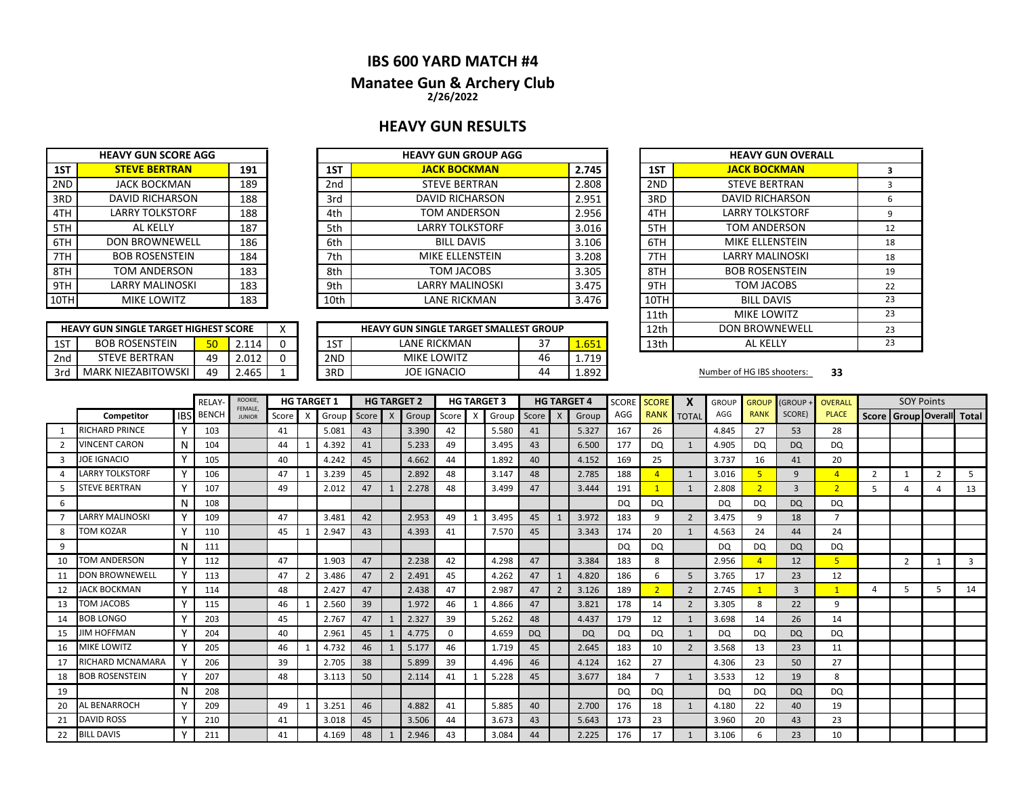# **IBS 600 YARD MATCH #4**

### **Manatee Gun & Archery Club 2/26/2022**

## **HEAVY GUN RESULTS**

|      | <b>HEAVY GUN SCORE AGG</b> |     |
|------|----------------------------|-----|
| 1ST  | <b>STEVE BERTRAN</b>       | 191 |
| 2ND  | <b>JACK BOCKMAN</b>        | 189 |
| 3RD  | <b>DAVID RICHARSON</b>     | 188 |
| 4TH  | <b>LARRY TOLKSTORF</b>     | 188 |
| 5TH  | AI KFIIY                   | 187 |
| 6TH  | <b>DON BROWNEWELL</b>      | 186 |
| 7TH  | <b>BOB ROSENSTEIN</b>      | 184 |
| 8TH  | <b>TOM ANDERSON</b>        | 183 |
| 9TH  | <b>LARRY MALINOSKI</b>     | 183 |
| 10TH | MIKE LOWITZ                | 183 |

|       | <b>HEAVY GUN GROUP AGG</b> |                 |     | <b>HEAVY GUN SCORE AGG</b> |      |
|-------|----------------------------|-----------------|-----|----------------------------|------|
| 2.745 | <b>JACK BOCKMAN</b>        | 1ST             | 191 | <b>STEVE BERTRAN</b>       | 1ST  |
| 2.808 | <b>STEVE BERTRAN</b>       | 2 <sub>nd</sub> | 189 | <b>JACK BOCKMAN</b>        | 2ND  |
| 2.951 | <b>DAVID RICHARSON</b>     | 3rd             | 188 | <b>DAVID RICHARSON</b>     | 3RD  |
| 2.956 | TOM ANDERSON               | 4th             | 188 | <b>LARRY TOLKSTORF</b>     | 4TH  |
| 3.016 | <b>LARRY TOLKSTORF</b>     | 5th             | 187 | AL KELLY                   | 5TH  |
| 3.106 | <b>BILL DAVIS</b>          | 6th             | 186 | <b>DON BROWNEWELL</b>      | 6TH  |
| 3.208 | MIKE ELLENSTEIN            | 7th             | 184 | <b>BOB ROSENSTEIN</b>      | 7TH  |
| 3.305 | TOM JACOBS                 | 8th             | 183 | TOM ANDERSON               | 8TH  |
| 3.475 | LARRY MALINOSKI            | 9th             | 183 | LARRY MALINOSKI            | 9TH  |
| 3.476 | LANE RICKMAN               | 10th            | 183 | <b>MIKE LOWITZ</b>         | 10TH |
|       |                            |                 |     |                            |      |

|     | <b>HEAVY GUN SINGLE TARGET HIGHEST SCORE</b> |                               |       |  |     | <b>HEAVY GUN SINGLE TARGET SMALLEST GROUP</b> |               |       | 12th | <b>DON BROWNEWELL</b>      |    |
|-----|----------------------------------------------|-------------------------------|-------|--|-----|-----------------------------------------------|---------------|-------|------|----------------------------|----|
| 1ST | <b>BOB ROSENSTEIN</b>                        | $\overline{\mathbf{r}}$<br>JU | 2.114 |  | 1ST | LANE RICKMAN                                  | <u>_</u><br>J | 1.651 | 13th | AL KELI                    |    |
| 2nd | FEVE BERTRAN                                 | 49                            | 2.012 |  | 2ND | <b>MIKE LOWITZ</b>                            | 46            | 719   |      |                            |    |
| 3rd | <b>MARK NIEZABITOWSKI</b>                    | 49                            | 2.465 |  | 3RD | JOE IGNACIO                                   | 44            | 1.892 |      | Number of HG IBS shooters: | 33 |

| <b>HEAVY GUN GROUP AGG</b>      |    |       |      | <b>HEAVY GUN OVERALL</b> |    |
|---------------------------------|----|-------|------|--------------------------|----|
| <b>JACK BOCKMAN</b>             |    | 2.745 | 1ST  | <b>JACK BOCKMAN</b>      | 3  |
| <b>STEVE BERTRAN</b>            |    | 2.808 | 2ND  | <b>STEVE BERTRAN</b>     | 3  |
| <b>DAVID RICHARSON</b>          |    | 2.951 | 3RD  | <b>DAVID RICHARSON</b>   | 6  |
| TOM ANDERSON                    |    | 2.956 | 4TH  | <b>LARRY TOLKSTORF</b>   | 9  |
| <b>LARRY TOLKSTORF</b>          |    | 3.016 | 5TH  | TOM ANDERSON             | 12 |
| <b>BILL DAVIS</b>               |    | 3.106 | 6TH  | MIKE ELLENSTEIN          | 18 |
| MIKE ELLENSTEIN                 |    | 3.208 | 7TH  | <b>LARRY MALINOSKI</b>   | 18 |
| TOM JACOBS                      |    | 3.305 | 8TH  | <b>BOB ROSENSTEIN</b>    | 19 |
| <b>LARRY MALINOSKI</b>          |    | 3.475 | 9TH  | TOM JACOBS               | 22 |
| <b>LANE RICKMAN</b>             |    | 3.476 | 10TH | <b>BILL DAVIS</b>        | 23 |
|                                 |    |       | 11th | <b>MIKE LOWITZ</b>       | 23 |
| UN SINGLE TARGET SMALLEST GROUP |    |       | 12th | <b>DON BROWNEWELL</b>    | 23 |
| LANE RICKMAN                    | 37 | 1.651 | 13th | AL KELLY                 | 23 |

#### Number of HG IBS shooters: 33

|                |                        |              | <b>RELAY</b> | ROOKIE,<br>FEMALE. |       |                           | <b>HG TARGET 1</b> |         |                | <b>HG TARGET 2</b> |          |                           | <b>HG TARGET 3</b> |           |              | <b>HG TARGET 4</b> | <b>SCORE</b> | <b>SCORE</b>   |                | <b>GROUP</b> | <b>GROUP</b> | <b>GROUP</b>   | <b>OVERALL</b> |                | <b>SOY Points</b> |                |                           |
|----------------|------------------------|--------------|--------------|--------------------|-------|---------------------------|--------------------|---------|----------------|--------------------|----------|---------------------------|--------------------|-----------|--------------|--------------------|--------------|----------------|----------------|--------------|--------------|----------------|----------------|----------------|-------------------|----------------|---------------------------|
|                | Competitor             | <b>IBSI</b>  | <b>BENCH</b> | <b>JUNIOR</b>      | Score | $\boldsymbol{\mathsf{X}}$ | Group              | Score X |                | Group              | Score    | $\boldsymbol{\mathsf{x}}$ | Group              | Score     | $\mathsf{X}$ | Group              | AGG          | <b>RANK</b>    | <b>TOTAL</b>   | AGG          | <b>RANK</b>  | SCORE)         | <b>PLACE</b>   |                |                   |                | Score Group Overall Total |
|                | <b>RICHARD PRINCE</b>  | Υ            | 103          |                    | 41    |                           | 5.081              | 43      |                | 3.390              | 42       |                           | 5.580              | 41        |              | 5.327              | 167          | 26             |                | 4.845        | 27           | 53             | 28             |                |                   |                |                           |
| $\overline{2}$ | VINCENT CARON          | N            | 104          |                    | 44    |                           | 4.392              | 41      |                | 5.233              | 49       |                           | 3.495              | 43        |              | 6.500              | 177          | <sub>DO</sub>  | $\mathbf{1}$   | 4.905        | DQ.          | <b>DQ</b>      | DQ             |                |                   |                |                           |
| 3              | <b>JOE IGNACIO</b>     | <b>V</b>     | 105          |                    | 40    |                           | 4.242              | 45      |                | 4.662              | 44       |                           | 1.892              | 40        |              | 4.152              | 169          | 25             |                | 3.737        | 16           | 41             | 20             |                |                   |                |                           |
|                | <b>LARRY TOLKSTORF</b> | v            | 106          |                    | 47    |                           | 3.239              | 45      |                | 2.892              | 48       |                           | 3.147              | 48        |              | 2.785              | 188          |                | 1              | 3.016        | 5            | 9              | $\overline{4}$ | $\overline{2}$ |                   | $\overline{2}$ |                           |
|                | <b>STEVE BERTRAN</b>   |              | 107          |                    | 49    |                           | 2.012              | 47      |                | 2.278              | 48       |                           | 3.499              | 47        |              | 3.444              | 191          |                | 1              | 2.808        |              | $\overline{3}$ | $\overline{2}$ | 5              |                   | Δ              | 13                        |
| 6              |                        | N            | 108          |                    |       |                           |                    |         |                |                    |          |                           |                    |           |              |                    | <b>DQ</b>    | <b>DQ</b>      |                | DQ.          | <b>DQ</b>    | <b>DQ</b>      | DQ             |                |                   |                |                           |
|                | <b>LARRY MALINOSKI</b> | Y            | 109          |                    | 47    |                           | 3.481              | 42      |                | 2.953              | 49       |                           | 3.495              | 45        |              | 3.972              | 183          | 9              | $\overline{2}$ | 3.475        | 9            | 18             | $\overline{ }$ |                |                   |                |                           |
| 8              | TOM KOZAR              |              | 110          |                    | 45    |                           | 2.947              | 43      |                | 4.393              | 41       |                           | 7.570              | 45        |              | 3.343              | 174          | 20             | 1              | 4.563        | 24           | 44             | 24             |                |                   |                |                           |
| 9              |                        | N            | 111          |                    |       |                           |                    |         |                |                    |          |                           |                    |           |              |                    | <b>DQ</b>    | <b>DQ</b>      |                | DQ           | DQ           | <b>DQ</b>      | DQ             |                |                   |                |                           |
| 10             | TOM ANDERSON           | Y            | 112          |                    | 47    |                           | 1.903              | 47      |                | 2.238              | 42       |                           | 4.298              | 47        |              | 3.384              | 183          | 8              |                | 2.956        |              | 12             | 5 <sup>1</sup> |                | $\overline{2}$    | $\mathbf{1}$   | 3                         |
| 11             | <b>DON BROWNEWELL</b>  |              | 113          |                    | 47    | $\overline{2}$            | 3.486              | 47      | $\overline{2}$ | 2.491              | 45       |                           | 4.262              | 47        |              | 4.820              | 186          | 6              | 5              | 3.765        | 17           | 23             | 12             |                |                   |                |                           |
| 12             | <b>JACK BOCKMAN</b>    | $\mathsf{v}$ | 114          |                    | 48    |                           | 2.427              | 47      |                | 2.438              | 47       |                           | 2.987              | 47        |              | 3.126              | 189          |                | $\overline{2}$ | 2.745        |              | $\overline{3}$ | $\mathbf{1}$   | $\overline{a}$ | 5                 | 5              | 14                        |
| 13             | TOM JACOBS             | Y            | 115          |                    | 46    |                           | 2.560              | 39      |                | 1.972              | 46       |                           | 4.866              | 47        |              | 3.821              | 178          | 14             | 2              | 3.305        | 8            | 22             | 9              |                |                   |                |                           |
| 14             | BOB LONGO              |              | 203          |                    | 45    |                           | 2.767              | 47      |                | 2.327              | 39       |                           | 5.262              | 48        |              | 4.437              | 179          | 12             | $\mathbf{1}$   | 3.698        | 14           | 26             | 14             |                |                   |                |                           |
| 15             | <b>JIM HOFFMAN</b>     | Y            | 204          |                    | 40    |                           | 2.961              | 45      |                | 4.775              | $\Omega$ |                           | 4.659              | <b>DQ</b> |              | <b>DQ</b>          | DQ           | DQ             |                | DQ           | DQ           | <b>DQ</b>      | DQ             |                |                   |                |                           |
| 16             | <b>MIKE LOWITZ</b>     | v            | 205          |                    | 46    |                           | 4.732              | 46      |                | 5.177              | 46       |                           | 1.719              | 45        |              | 2.645              | 183          | 10             | $\overline{2}$ | 3.568        | 13           | 23             | 11             |                |                   |                |                           |
| 17             | RICHARD MCNAMARA       |              | 206          |                    | 39    |                           | 2.705              | 38      |                | 5.899              | 39       |                           | 4.496              | 46        |              | 4.124              | 162          | 27             |                | 4.306        | 23           | 50             | 27             |                |                   |                |                           |
| 18             | <b>BOB ROSENSTEIN</b>  | $\mathbf v$  | 207          |                    | 48    |                           | 3.113              | 50      |                | 2.114              | 41       |                           | 5.228              | 45        |              | 3.677              | 184          | $\overline{ }$ | $\mathbf{1}$   | 3.533        | 12           | 19             | 8              |                |                   |                |                           |
| 19             |                        | N            | 208          |                    |       |                           |                    |         |                |                    |          |                           |                    |           |              |                    | DQ.          | DQ             |                | DQ           | DQ.          | <b>DQ</b>      | <b>DQ</b>      |                |                   |                |                           |
| 20             | AL BENARROCH           |              | 209          |                    | 49    | 1                         | 3.251              | 46      |                | 4.882              | 41       |                           | 5.885              | 40        |              | 2.700              | 176          | 18             | $\mathbf{1}$   | 4.180        | 22           | 40             | 19             |                |                   |                |                           |
| 21             | <b>DAVID ROSS</b>      |              | 210          |                    | 41    |                           | 3.018              | 45      |                | 3.506              | 44       |                           | 3.673              | 43        |              | 5.643              | 173          | 23             |                | 3.960        | 20           | 43             | 23             |                |                   |                |                           |
| 22             | <b>BILL DAVIS</b>      |              | 211          |                    | 41    |                           | 4.169              | 48      |                | 2.946              | 43       |                           | 3.084              | 44        |              | 2.225              | 176          | 17             |                | 3.106        | 6            | 23             | 10             |                |                   |                |                           |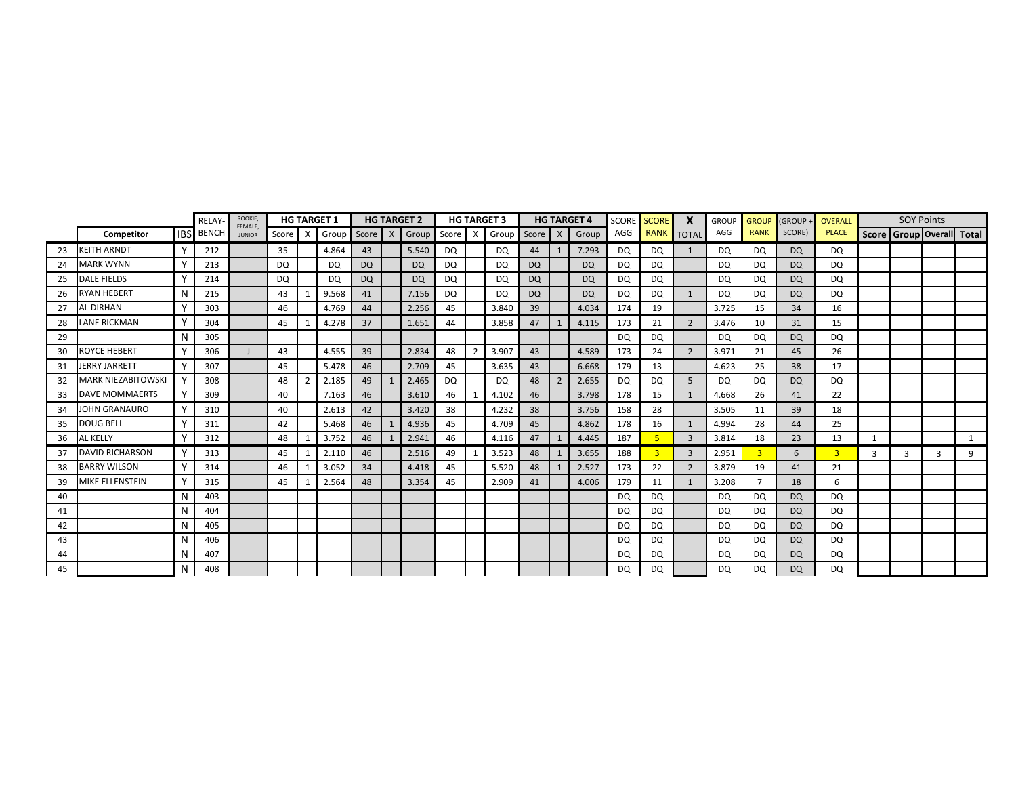|    |                        |          | RELAY-           | ROOKIE,<br>FEMALE, |           |              | <b>HG TARGET 1</b> |           | <b>HG TARGET 2</b>  |           | <b>HG TARGET 3</b> |           | <b>HG TARGET 4</b> | <b>SCORE</b> | <b>SCORE</b>   | $\boldsymbol{\mathsf{x}}$ | <b>GROUP</b> | <b>GROUP</b>   | (GROUP    | <b>OVERALL</b> |              | <b>SOY Points</b> |   |                                 |
|----|------------------------|----------|------------------|--------------------|-----------|--------------|--------------------|-----------|---------------------|-----------|--------------------|-----------|--------------------|--------------|----------------|---------------------------|--------------|----------------|-----------|----------------|--------------|-------------------|---|---------------------------------|
|    | Competitor             |          | <b>IBS</b> BENCH | <b>JUNIOR</b>      | Score     | $\mathsf{X}$ | Group              | Score X   | Group Score X Group |           |                    | Score X   | Group              | AGG          |                | RANK TOTAL                | AGG          | <b>RANK</b>    | SCORE)    | <b>PLACE</b>   |              |                   |   | Score   Group   Overall   Total |
| 23 | <b>KEITH ARNDT</b>     |          | 212              |                    | 35        |              | 4.864              | 43        | 5.540               | DQ        | DQ                 | 44        | 7.293              | DQ           | DQ             | $\mathbf{1}$              | DQ           | DQ             | DQ        | DQ             |              |                   |   |                                 |
| 24 | <b>MARK WYNN</b>       |          | 213              |                    | <b>DQ</b> |              | DQ                 | <b>DQ</b> | <b>DQ</b>           | <b>DQ</b> | <b>DQ</b>          | <b>DQ</b> | <b>DQ</b>          | DQ           | <b>DQ</b>      |                           | <b>DQ</b>    | DQ             | DQ        | <b>DQ</b>      |              |                   |   |                                 |
| 25 | <b>DALE FIELDS</b>     |          | 214              |                    | DQ        |              | <b>DQ</b>          | DQ        | <b>DQ</b>           | <b>DQ</b> | DQ                 | <b>DQ</b> | <b>DQ</b>          | DQ           | DQ             |                           | DQ           | DQ             | <b>DQ</b> | <b>DQ</b>      |              |                   |   |                                 |
| 26 | RYAN HEBERT            | N        | 215              |                    | 43        |              | 9.568              | 41        | 7.156               | DQ        | <b>DQ</b>          | DQ        | <b>DQ</b>          | DQ.          | DQ             | $\mathbf{1}$              | DQ           | <b>DQ</b>      | DQ        | DQ.            |              |                   |   |                                 |
| 27 | AL DIRHAN              |          | 303              |                    | 46        |              | 4.769              | 44        | 2.256               | 45        | 3.840              | 39        | 4.034              | 174          | 19             |                           | 3.725        | 15             | 34        | 16             |              |                   |   |                                 |
| 28 | <b>LANE RICKMAN</b>    | Y        | 304              |                    | 45        |              | 4.278              | 37        | 1.651               | 44        | 3.858              | 47        | 4.115              | 173          | 21             | 2                         | 3.476        | 10             | 31        | 15             |              |                   |   |                                 |
| 29 |                        | N        | 305              |                    |           |              |                    |           |                     |           |                    |           |                    | DQ           | DQ             |                           | DQ           | DQ             | <b>DQ</b> | <b>DQ</b>      |              |                   |   |                                 |
| 30 | ROYCE HEBERT           |          | 306              |                    | 43        |              | 4.555              | 39        | 2.834               | 48        | 3.907              | 43        | 4.589              | 173          | 24             | $\overline{2}$            | 3.971        | 21             | 45        | 26             |              |                   |   |                                 |
| 31 | <b>JERRY JARRETT</b>   |          | 307              |                    | 45        |              | 5.478              | 46        | 2.709               | 45        | 3.635              | 43        | 6.668              | 179          | 13             |                           | 4.623        | 25             | 38        | 17             |              |                   |   |                                 |
| 32 | MARK NIEZABITOWSKI     |          | 308              |                    | 48        |              | 2.185              | 49        | 2.465               | <b>DQ</b> | DQ                 | 48        | 2.655              | DQ           | DQ             | 5                         | DQ           | DQ             | <b>DQ</b> | DQ             |              |                   |   |                                 |
| 33 | DAVE MOMMAERTS         |          | 309              |                    | 40        |              | 7.163              | 46        | 3.610               | 46        | 4.102              | 46        | 3.798              | 178          | 15             | $\mathbf{1}$              | 4.668        | 26             | 41        | 22             |              |                   |   |                                 |
| 34 | JOHN GRANAURO          |          | 310              |                    | 40        |              | 2.613              | 42        | 3.420               | 38        | 4.232              | 38        | 3.756              | 158          | 28             |                           | 3.505        | 11             | 39        | 18             |              |                   |   |                                 |
| 35 | DOUG BELL              |          | 311              |                    | 42        |              | 5.468              | 46        | 4.936               | 45        | 4.709              | 45        | 4.862              | 178          | 16             | 1                         | 4.994        | 28             | 44        | 25             |              |                   |   |                                 |
| 36 | AL KELLY               |          | 312              |                    | 48        |              | 3.752              | 46        | 2.941               | 46        | 4.116              | 47        | 4.445              | 187          | 5              | $\overline{3}$            | 3.814        | 18             | 23        | 13             | $\mathbf{1}$ |                   |   |                                 |
| 37 | <b>DAVID RICHARSON</b> |          | 313              |                    | 45        | -1           | 2.110              | 46        | 2.516               | 49        | 3.523              | 48        | 3.655              | 188          | $\overline{3}$ | $\overline{3}$            | 2.951        | $\overline{3}$ | 6         | $\overline{3}$ | 3            | 3                 | 3 | 9                               |
| 38 | <b>BARRY WILSON</b>    | <b>Y</b> | 314              |                    | 46        |              | 3.052              | 34        | 4.418               | 45        | 5.520              | 48        | 2.527              | 173          | 22             | $\overline{2}$            | 3.879        | 19             | 41        | 21             |              |                   |   |                                 |
| 39 | MIKE ELLENSTEIN        | Y        | 315              |                    | 45        | $\mathbf{1}$ | 2.564              | 48        | 3.354               | 45        | 2.909              | 41        | 4.006              | 179          | 11             | 1                         | 3.208        | $\overline{ }$ | 18        | 6              |              |                   |   |                                 |
| 40 |                        | N        | 403              |                    |           |              |                    |           |                     |           |                    |           |                    | <b>DQ</b>    | DQ             |                           | DQ           | DQ             | <b>DQ</b> | DQ             |              |                   |   |                                 |
| 41 |                        | N        | 404              |                    |           |              |                    |           |                     |           |                    |           |                    | <b>DQ</b>    | DQ             |                           | DQ           | DQ.            | <b>DQ</b> | DQ             |              |                   |   |                                 |
| 42 |                        | N        | 405              |                    |           |              |                    |           |                     |           |                    |           |                    | DQ           | <b>DQ</b>      |                           | <b>DQ</b>    | DQ             | <b>DQ</b> | DQ             |              |                   |   |                                 |
| 43 |                        | N        | 406              |                    |           |              |                    |           |                     |           |                    |           |                    | DQ           | DQ             |                           | DQ           | DQ             | <b>DQ</b> | DQ             |              |                   |   |                                 |
| 44 |                        | N        | 407              |                    |           |              |                    |           |                     |           |                    |           |                    | DQ           | DQ             |                           | DQ           | DQ             | DQ.       | DQ             |              |                   |   |                                 |
| 45 |                        | N        | 408              |                    |           |              |                    |           |                     |           |                    |           |                    | DQ           | DQ             |                           | <b>DQ</b>    | DQ             | <b>DQ</b> | DQ             |              |                   |   |                                 |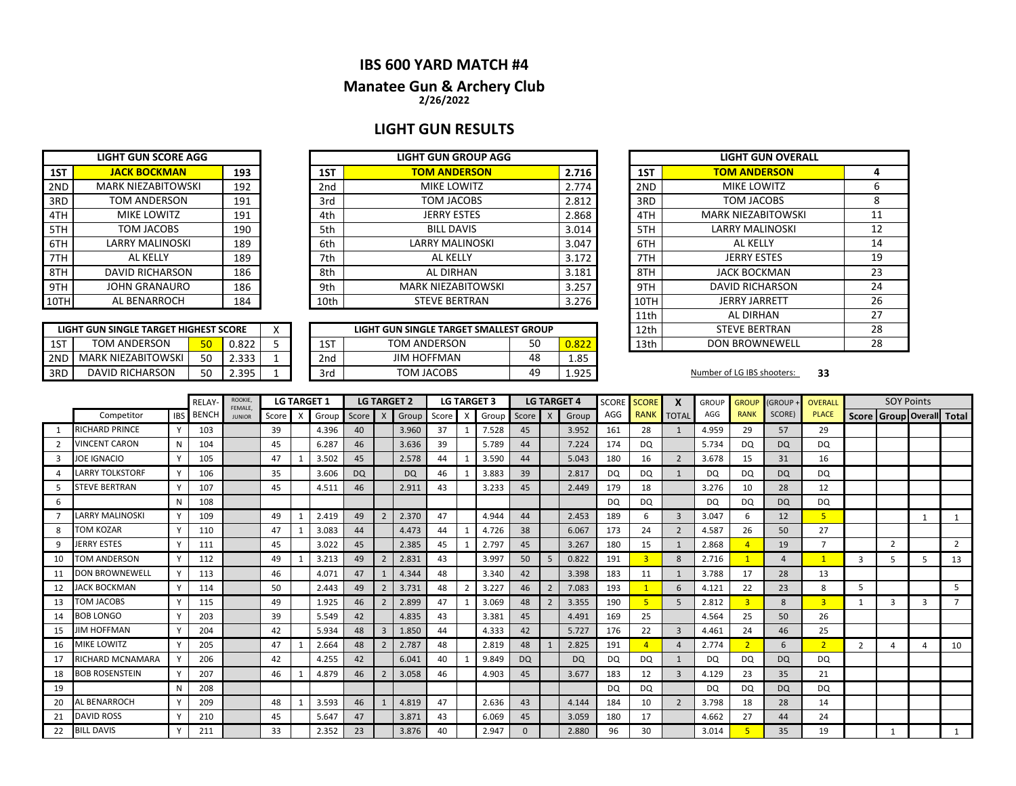# **IBS 600 YARD MATCH #4**

### **2/26/2022 Manatee Gun & Archery Club**

# **LIGHT GUN RESULTS**

|     | <b>LIGHT GUN SCORE AGG</b> |     |
|-----|----------------------------|-----|
| 1ST | <b>JACK BOCKMAN</b>        | 193 |
| 2ND | <b>MARK NIEZABITOWSKI</b>  | 192 |
| 3RD | <b>TOM ANDERSON</b>        | 191 |
| 4TH | <b>MIKE LOWITZ</b>         | 191 |
| 5TH | TOM JACOBS                 | 190 |
| 6TH | <b>LARRY MALINOSKI</b>     | 189 |
| 7TH | AL KELLY                   | 189 |
| 8TH | <b>DAVID RICHARSON</b>     | 186 |
| 9TH | <b>JOHN GRANAURO</b>       | 186 |
| 10T | AL BENARROCH               | 184 |

| LIGHT GUN SINGLE TARGET HIGHEST SCORE |                           |    |       |  |  |  |  |  |  |  |  |  |  |
|---------------------------------------|---------------------------|----|-------|--|--|--|--|--|--|--|--|--|--|
| 1ST                                   | TOM ANDERSON              | 50 | 0.822 |  |  |  |  |  |  |  |  |  |  |
| 2ND                                   | <b>MARK NIEZABITOWSKI</b> | 50 | 2.333 |  |  |  |  |  |  |  |  |  |  |
| 3RD                                   | DAVID RICHARSON           | 50 | 2.395 |  |  |  |  |  |  |  |  |  |  |

|      | LIGHT GUN SCORE AGG       |     |  |      | LIGHT GUN GROUP AGG       |       |      | LIGHT GUN OVE           |
|------|---------------------------|-----|--|------|---------------------------|-------|------|-------------------------|
| 1ST  | <b>JACK BOCKMAN</b>       | 193 |  |      | <b>TOM ANDERSON</b>       | 2.716 | 1ST  | <b>TOM ANDERSON</b>     |
| 2ND  | <b>MARK NIEZABITOWSKI</b> | 192 |  | 2nd  | MIKE LOWITZ               | 2.774 | 2ND  | MIKE LOWITZ             |
| 3RD  | TOM ANDERSON              | 191 |  | 3rd  | TOM JACOBS                | 2.812 | 3RD  | TOM JACOBS              |
| 4TH  | MIKE LOWITZ               | 191 |  | 4th  | <b>JERRY ESTES</b>        | 2.868 | 4TH  | <b>MARK NIEZABITOWS</b> |
| 5TH  | TOM JACOBS                | 190 |  | 5th  | <b>BILL DAVIS</b>         | 3.014 | 5TH  | <b>LARRY MALINOSKI</b>  |
| 6TH  | <b>LARRY MALINOSKI</b>    | 189 |  | 6th  | <b>LARRY MALINOSKI</b>    | 3.047 | 6TH  | AL KELLY                |
| 7TH  | AL KELLY                  | 189 |  | 7th  | AL KELLY                  | 3.172 | 7TH  | <b>JERRY ESTES</b>      |
| 8TH  | <b>DAVID RICHARSON</b>    | 186 |  | 8th  | AL DIRHAN                 | 3.181 | 8TH  | <b>JACK BOCKMAN</b>     |
| 9TH  | <b>JOHN GRANAURO</b>      | 186 |  | 9th  | <b>MARK NIEZABITOWSKI</b> | 3.257 | 9TH  | <b>DAVID RICHARSON</b>  |
| 10TH | AL BENARROCH              | 184 |  | 10th | <b>STEVE BERTRAN</b>      | 3.276 | 10TH | <b>JERRY JARRETT</b>    |

|     | LIGHT GUN SINGLE TARGET HIGHEST SCORE |     |                | $\lambda$ |                 | LIGHT GUN SINGLE TARGET SMALLEST GROUP |           |                 | 12th | <b>STEVE BERTRAN</b>       |    |
|-----|---------------------------------------|-----|----------------|-----------|-----------------|----------------------------------------|-----------|-----------------|------|----------------------------|----|
| 1ST | <b>TOM ANDERSON</b>                   | 50. | 0.822          |           | 1ST             | <b>TOM ANDERSON</b>                    | ΞO.<br>טע | $\sim$<br>u.ozz | 13th | <b>DON BROWNEWELL</b>      |    |
| 2ND | <b>MARK NIEZABITOWSKI</b>             | 50  | ろろろ<br>د د     |           | 2 <sub>nd</sub> | <b>JIM HOFFMAN</b>                     | 48        | 1.85            |      |                            |    |
| 3RD | <b>DAVID RICHARSON</b>                | 50  | 395<br>ر رو. ے |           | 3rd             | TOM JACOBS                             | 49        | 1.925           |      | Number of LG IBS shooters: | 33 |

| <b>LIGHT GUN GROUP AGG</b>     |             |      | <b>LIGHT GUN OVERALL</b>  |    |
|--------------------------------|-------------|------|---------------------------|----|
| <b>TOM ANDERSON</b>            | 2.716       | 1ST  | <b>TOM ANDERSON</b>       | 4  |
| <b>MIKE LOWITZ</b>             | 2.774       | 2ND  | <b>MIKE LOWITZ</b>        | 6  |
| TOM JACOBS                     | 2.812       | 3RD  | TOM JACOBS                | 8  |
| <b>JERRY ESTES</b>             | 2.868       | 4TH  | <b>MARK NIEZABITOWSKI</b> | 11 |
| <b>BILL DAVIS</b>              | 3.014       | 5TH  | <b>LARRY MALINOSKI</b>    | 12 |
| <b>LARRY MALINOSKI</b>         | 3.047       | 6TH  | AL KELLY                  | 14 |
| <b>AL KELLY</b>                | 3.172       | 7TH  | <b>JERRY ESTES</b>        | 19 |
| AL DIRHAN                      | 3.181       | 8TH  | <b>JACK BOCKMAN</b>       | 23 |
| <b>MARK NIEZABITOWSKI</b>      | 3.257       | 9TH  | <b>DAVID RICHARSON</b>    | 24 |
| <b>STEVE BERTRAN</b>           | 3.276       | 10TH | <b>JERRY JARRETT</b>      | 26 |
|                                |             | 11th | <b>AL DIRHAN</b>          | 27 |
| N SINGLE TARGET SMALLEST GROUP |             | 12th | <b>STEVE BERTRAN</b>      | 28 |
| <b>DM ANDERSON</b>             | 50<br>0.822 | 13th | <b>DON BROWNEWELL</b>     | 28 |

|              |                         |            | <b>RFIAY</b> | ROOKIE,<br><b>FEMALE</b> |       |                           | <b>LG TARGET 1</b> |           |                | <b>LG TARGET 2</b> |    |              | <b>LG TARGET 3</b> |           |                | <b>LG TARGET 4</b> | <b>SCORE</b> | <b>SCORE</b>   | X               | <b>GROUP</b> | <b>GROUP</b>   | <b>(GROUP</b> | <b>OVERALL</b> |                | <b>SOY Points</b>         |   |                |
|--------------|-------------------------|------------|--------------|--------------------------|-------|---------------------------|--------------------|-----------|----------------|--------------------|----|--------------|--------------------|-----------|----------------|--------------------|--------------|----------------|-----------------|--------------|----------------|---------------|----------------|----------------|---------------------------|---|----------------|
|              | Competitor              | <b>IBS</b> | <b>BENCH</b> | <b>JUNIOR</b>            | Score | $\boldsymbol{\mathsf{x}}$ | Group              | Score     | X              | Group Score        |    | $\mathsf{x}$ | Group              | Score     | $\mathsf{X}$   | Group              | AGG          | <b>RANK</b>    | <b>TOTAL</b>    | AGG          | <b>RANK</b>    | SCORE)        | <b>PLACE</b>   |                | Score Group Overall Total |   |                |
|              | <b>RICHARD PRINCE</b>   |            | 103          |                          | 39    |                           | 4.396              | 40        |                | 3.960              | 37 |              | 7.528              | 45        |                | 3.952              | 161          | 28             |                 | 4.959        | 29             | 57            | 29             |                |                           |   |                |
|              | <b>VINCENT CARON</b>    | N          | 104          |                          | 45    |                           | 6.287              | 46        |                | 3.636              | 39 |              | 5.789              | 44        |                | 7.224              | 174          | DQ             |                 | 5.734        | DQ             | <b>DQ</b>     | DQ             |                |                           |   |                |
| $\mathbf{R}$ | <b>JOE IGNACIO</b>      |            | 105          |                          | 47    |                           | 3.502              | 45        |                | 2.578              | 44 |              | 3.590              | 44        |                | 5.043              | 180          | 16             | $\overline{2}$  | 3.678        | 15             | 31            | 16             |                |                           |   |                |
|              | <b>LARRY TOLKSTORF</b>  |            | 106          |                          | 35    |                           | 3.606              | <b>DQ</b> |                | <b>DQ</b>          | 46 |              | 3.883              | 39        |                | 2.817              | <b>DQ</b>    | DQ             |                 | DQ           | DQ             | <b>DQ</b>     | DQ             |                |                           |   |                |
|              | <b>STEVE BERTRAN</b>    |            | 107          |                          | 45    |                           | 4.511              | 46        |                | 2.911              | 43 |              | 3.233              | 45        |                | 2.449              | 179          | 18             |                 | 3.276        | 10             | 28            | 12             |                |                           |   |                |
| 6            |                         | N          | 108          |                          |       |                           |                    |           |                |                    |    |              |                    |           |                |                    | <b>DQ</b>    | DQ             |                 | <b>DQ</b>    | <b>DQ</b>      | <b>DQ</b>     | <b>DQ</b>      |                |                           |   |                |
|              | <b>ARRY MALINOSKI</b>   |            | 109          |                          | 49    |                           | 2.419              | 49        | $\overline{2}$ | 2.370              | 47 |              | 4.944              | 44        |                | 2.453              | 189          | 6              | 3               | 3.047        | 6              | 12            | 5 <sup>1</sup> |                |                           |   |                |
| 8            | <b>TOM KOZAR</b>        |            | 110          |                          | 47    |                           | 3.083              | 44        |                | 4.473              | 44 |              | 4.726              | 38        |                | 6.067              | 173          | 24             | $\overline{2}$  | 4.587        | 26             | 50            | 27             |                |                           |   |                |
| q            | <b>JERRY ESTES</b>      |            | 111          |                          | 45    |                           | 3.022              | 45        |                | 2.385              | 45 |              | 2.797              | 45        |                | 3.267              | 180          | 15             |                 | 2.868        |                | 19            | $\overline{ }$ |                | $\overline{2}$            |   | $\overline{2}$ |
| 10           | <b>TOM ANDERSON</b>     |            | 112          |                          | 49    |                           | 3.213              | 49        | $\overline{2}$ | 2.831              | 43 |              | 3.997              | 50        | -5             | 0.822              | 191          | $\overline{3}$ | 8               | 2.716        |                | $\Delta$      |                | 3              | 5                         | 5 | 13             |
|              | <b>DON BROWNEWELL</b>   |            | 113          |                          | 46    |                           | 4.071              | 47        |                | 4.344              | 48 |              | 3.340              | 42        |                | 3.398              | 183          | 11             |                 | 3.788        | 17             | 28            | 13             |                |                           |   |                |
| 12           | <b>JACK BOCKMAN</b>     |            | 114          |                          | 50    |                           | 2.443              | 49        |                | 3.731              | 48 |              | 3.227              | 46        |                | 7.083              | 193          |                | $6\overline{6}$ | 4.121        | 22             | 23            | 8              | 5              |                           |   | 5              |
| 13           | TOM JACOBS              |            | 115          |                          | 49    |                           | 1.925              | 46        | $\overline{2}$ | 2.899              | 47 |              | 3.069              | 48        | $\overline{2}$ | 3.355              | 190          | -5             | 5               | 2.812        | $\overline{3}$ | 8             | $\overline{3}$ | -1             | 3                         | 3 |                |
| 14           | <b>BOB LONGO</b>        |            | 203          |                          | 39    |                           | 5.549              | 42        |                | 4.835              | 43 |              | 3.381              | 45        |                | 4.491              | 169          | 25             |                 | 4.564        | 25             | 50            | 26             |                |                           |   |                |
| 15           | <b>JIM HOFFMAN</b>      |            | 204          |                          | 42    |                           | 5.934              | 48        | $\overline{3}$ | 1.850              | 44 |              | 4.333              | 42        |                | 5.727              | 176          | 22             | 3               | 4.461        | 24             | 46            | 25             |                |                           |   |                |
| 16           | <b>MIKE LOWITZ</b>      |            | 205          |                          | 47    |                           | 2.664              | 48        | $\overline{2}$ | 2.787              | 48 |              | 2.819              | 48        |                | 2.825              | 191          |                | $\overline{4}$  | 2.774        | $\overline{2}$ | 6             | 2 <sup>1</sup> | $\overline{2}$ | 4                         |   | 10             |
| 17           | <b>RICHARD MCNAMARA</b> |            | 206          |                          | 42    |                           | 4.255              | 42        |                | 6.041              | 40 |              | 9.849              | <b>DQ</b> |                | <b>DQ</b>          | <b>DQ</b>    | DQ             |                 | DQ           | DQ             | <b>DQ</b>     | DQ             |                |                           |   |                |
| 18           | <b>BOB ROSENSTEIN</b>   |            | 207          |                          | 46    |                           | 4.879              | 46        | $\overline{2}$ | 3.058              | 46 |              | 4.903              | 45        |                | 3.677              | 183          | 12             | $\overline{3}$  | 4.129        | 23             | 35            | 21             |                |                           |   |                |
| 19           |                         |            | 208          |                          |       |                           |                    |           |                |                    |    |              |                    |           |                |                    | DQ           | DQ             |                 | DQ           | DQ             | <b>DQ</b>     | DQ             |                |                           |   |                |
| 20           | AL BENARROCH            |            | 209          |                          | 48    |                           | 3.593              | 46        |                | 4.819              | 47 |              | 2.636              | 43        |                | 4.144              | 184          | 10             | $\overline{2}$  | 3.798        | 18             | 28            | 14             |                |                           |   |                |
| 21           | <b>DAVID ROSS</b>       |            | 210          |                          | 45    |                           | 5.647              | 47        |                | 3.871              | 43 |              | 6.069              | 45        |                | 3.059              | 180          | 17             |                 | 4.662        | 27             | 44            | 24             |                |                           |   |                |
| 22           | <b>BILL DAVIS</b>       |            | 211          |                          | 33    |                           | 2.352              | 23        |                | 3.876              | 40 |              | 2.947              |           |                | 2.880              | 96           | 30             |                 | 3.014        |                | 35            | 19             |                |                           |   |                |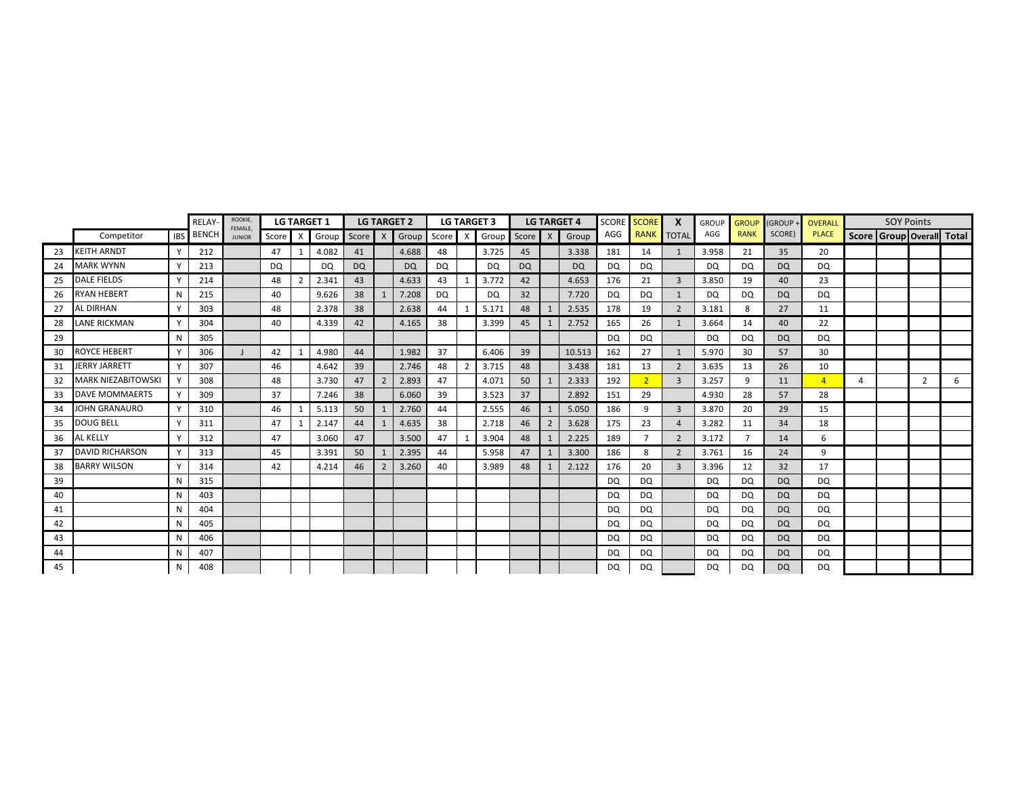|    |                           |            | RELAY        | <b>ROOKIE</b><br>FEMALE. |       |                | <b>LG TARGET 1</b> |           |                | <b>LG TARGET 2</b> |    |              | <b>LG TARGET 3</b> |           |                | <b>LG TARGET 4</b> | <b>SCORE</b> | <b>SCORE</b>   | X                        | <b>GROUP</b> | <b>GROUP</b> | (GROUP -  | OVERALL        |   | <b>SOY Points</b> |                |                           |
|----|---------------------------|------------|--------------|--------------------------|-------|----------------|--------------------|-----------|----------------|--------------------|----|--------------|--------------------|-----------|----------------|--------------------|--------------|----------------|--------------------------|--------------|--------------|-----------|----------------|---|-------------------|----------------|---------------------------|
|    | Competitor                | <b>IBS</b> | <b>BENCH</b> | <b>JUNIOR</b>            | Score | $X$ .          | Group Score X      |           |                | Group Score        |    | $\mathsf{x}$ | Group Score        |           | $\mathsf{X}$   | Group              | AGG          | <b>RANK</b>    | <b>TOTAL</b>             | AGG          | <b>RANK</b>  | SCORE)    | <b>PLACE</b>   |   |                   |                | Score Group Overall Total |
| 23 | <b>KEITH ARNDT</b>        | Y          | 212          |                          | 47    | $\mathbf 1$    | 4.082              | 41        |                | 4.688              | 48 |              | 3.725              | 45        |                | 3.338              | 181          | 14             |                          | 3.958        | 21           | 35        | 20             |   |                   |                |                           |
| 24 | <b>MARK WYNN</b>          |            | 213          |                          | DQ    |                | <b>DQ</b>          | <b>DQ</b> |                | <b>DQ</b>          | DQ |              | <b>DQ</b>          | <b>DQ</b> |                | <b>DQ</b>          | DQ           | <b>DQ</b>      |                          | <b>DQ</b>    | DQ           | <b>DQ</b> | DQ             |   |                   |                |                           |
| 25 | <b>DALE FIELDS</b>        |            | 214          |                          | 48    | $\overline{2}$ | 2.341              | 43        |                | 4.633              | 43 |              | 3.772              | 42        |                | 4.653              | 176          | 21             | 3                        | 3.850        | 19           | 40        | 23             |   |                   |                |                           |
| 26 | <b>RYAN HEBERT</b>        | N          | 215          |                          | 40    |                | 9.626              | 38        |                | 7.208              | DQ |              | DQ                 | 32        |                | 7.720              | DQ           | <b>DQ</b>      |                          | <b>DQ</b>    | DQ           | <b>DQ</b> | <b>DQ</b>      |   |                   |                |                           |
| 27 | <b>AL DIRHAN</b>          |            | 303          |                          | 48    |                | 2.378              | 38        |                | 2.638              | 44 |              | 5.171              | 48        |                | 2.535              | 178          | 19             | $\overline{\phantom{0}}$ | 3.181        | 8            | 27        | 11             |   |                   |                |                           |
| 28 | LANE RICKMAN              | Y          | 304          |                          | 40    |                | 4.339              | 42        |                | 4.165              | 38 |              | 3.399              | 45        |                | 2.752              | 165          | 26             |                          | 3.664        | 14           | 40        | 22             |   |                   |                |                           |
| 29 |                           | N          | 305          |                          |       |                |                    |           |                |                    |    |              |                    |           |                |                    | <b>DQ</b>    | <b>DQ</b>      |                          | DQ           | DQ           | <b>DQ</b> | DQ             |   |                   |                |                           |
| 30 | <b>ROYCE HEBERT</b>       |            | 306          |                          | 42    | $\mathbf{1}$   | 4.980              | 44        |                | 1.982              | 37 |              | 6.406              | 39        |                | 10.513             | 162          | 27             | $\mathbf{1}$             | 5.970        | 30           | 57        | 30             |   |                   |                |                           |
| 31 | JERRY JARRETT             |            | 307          |                          | 46    |                | 4.642              | 39        |                | 2.746              | 48 | 2            | 3.715              | 48        |                | 3.438              | 181          | 13             | $\overline{2}$           | 3.635        | 13           | 26        | 10             |   |                   |                |                           |
| 32 | <b>MARK NIEZABITOWSKI</b> |            | 308          |                          | 48    |                | 3.730              | 47        | $\overline{2}$ | 2.893              | 47 |              | 4.071              | 50        |                | 2.333              | 192          | $\overline{2}$ | $\overline{3}$           | 3.257        | 9            | 11        | $\overline{4}$ | 4 |                   | $\overline{2}$ | 6                         |
| 33 | <b>DAVE MOMMAERTS</b>     | Y          | 309          |                          | 37    |                | 7.246              | 38        |                | 6.060              | 39 |              | 3.523              | 37        |                | 2.892              | 151          | 29             |                          | 4.930        | 28           | 57        | 28             |   |                   |                |                           |
| 34 | <b>JOHN GRANAURO</b>      | Y          | 310          |                          | 46    | 1              | 5.113              | 50        |                | 2.760              | 44 |              | 2.555              | 46        |                | 5.050              | 186          | 9              | $\overline{3}$           | 3.870        | 20           | 29        | 15             |   |                   |                |                           |
| 35 | <b>DOUG BELL</b>          |            | 311          |                          | 47    |                | 2.147              | 44        |                | 4.635              | 38 |              | 2.718              | 46        | $\overline{2}$ | 3.628              | 175          | 23             | $\overline{4}$           | 3.282        | 11           | 34        | 18             |   |                   |                |                           |
| 36 | AL KELLY                  |            | 312          |                          | 47    |                | 3.060              | 47        |                | 3.500              | 47 |              | 3.904              | 48        |                | 2.225              | 189          |                | $\overline{2}$           | 3.172        |              | 14        | 6              |   |                   |                |                           |
| 37 | <b>DAVID RICHARSON</b>    | Y          | 313          |                          | 45    |                | 3.391              | 50        |                | 2.395              | 44 |              | 5.958              | 47        |                | 3.300              | 186          | 8              | $\overline{2}$           | 3.761        | 16           | 24        | 9              |   |                   |                |                           |
| 38 | <b>BARRY WILSON</b>       | Y          | 314          |                          | 42    |                | 4.214              | 46        | $\overline{2}$ | 3.260              | 40 |              | 3.989              | 48        |                | 2.122              | 176          | 20             | $\overline{3}$           | 3.396        | 12           | 32        | 17             |   |                   |                |                           |
| 39 |                           | N          | 315          |                          |       |                |                    |           |                |                    |    |              |                    |           |                |                    | DQ           | DQ             |                          | <b>DQ</b>    | DQ           | <b>DQ</b> | DQ             |   |                   |                |                           |
| 40 |                           | N          | 403          |                          |       |                |                    |           |                |                    |    |              |                    |           |                |                    | DQ           | <b>DQ</b>      |                          | <b>DQ</b>    | DQ           | <b>DQ</b> | DQ             |   |                   |                |                           |
| 41 |                           | N          | 404          |                          |       |                |                    |           |                |                    |    |              |                    |           |                |                    | DQ           | <b>DQ</b>      |                          | DQ           | DQ           | <b>DQ</b> | DQ             |   |                   |                |                           |
| 42 |                           | N          | 405          |                          |       |                |                    |           |                |                    |    |              |                    |           |                |                    | <b>DQ</b>    | <b>DQ</b>      |                          | DQ           | DQ           | DQ        | <b>DQ</b>      |   |                   |                |                           |
| 43 |                           | N          | 406          |                          |       |                |                    |           |                |                    |    |              |                    |           |                |                    | <b>DQ</b>    | <b>DQ</b>      |                          | DQ           | DQ           | DQ        | <b>DQ</b>      |   |                   |                |                           |
| 44 |                           | N          | 407          |                          |       |                |                    |           |                |                    |    |              |                    |           |                |                    | <b>DQ</b>    | <b>DQ</b>      |                          | DQ           | DQ           | <b>DQ</b> | <b>DQ</b>      |   |                   |                |                           |
| 45 |                           | N          | 408          |                          |       |                |                    |           |                |                    |    |              |                    |           |                |                    | <b>DQ</b>    | <b>DQ</b>      |                          | DQ           | DQ           | <b>DQ</b> | <b>DQ</b>      |   |                   |                |                           |